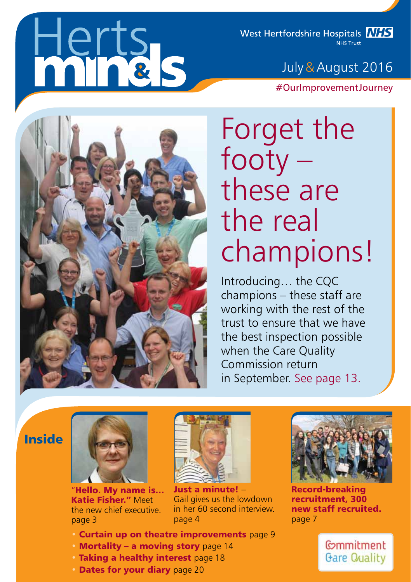# lerts<br>hinels

West Hertfordshire Hospitals **NHS NHS Trust** 

## July & August 2016

#OurImprovementJourney



# Forget the footy – these are the real champions!

Introducing… the CQC champions – these staff are working with the rest of the trust to ensure that we have the best inspection possible when the Care Quality Commission return in September. See page 13.

## Inside



"Hello. My name is… Katie Fisher." Meet the new chief executive. page 3



Just a minute! – Gail gives us the lowdown in her 60 second interview. page 4

- Curtain up on theatre improvements page 9
- Mortality a moving story page 14
- Taking a healthy interest page 18
- Dates for your diary page 20



Record-breaking recruitment, 300 new staff recruited. page 7

fommitment **Gare Quality**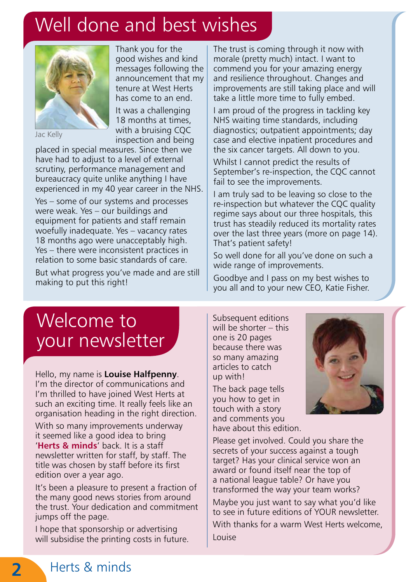## Well done and best wishes



Jac Kelly

Thank you for the good wishes and kind messages following the announcement that my tenure at West Herts has come to an end. It was a challenging 18 months at times, with a bruising CQC inspection and being

placed in special measures. Since then we have had to adjust to a level of external scrutiny, performance management and bureaucracy quite unlike anything I have experienced in my 40 year career in the NHS.

Yes – some of our systems and processes were weak. Yes – our buildings and equipment for patients and staff remain woefully inadequate. Yes – vacancy rates 18 months ago were unacceptably high. Yes – there were inconsistent practices in relation to some basic standards of care.

But what progress you've made and are still making to put this right!

The trust is coming through it now with morale (pretty much) intact. I want to commend you for your amazing energy and resilience throughout. Changes and improvements are still taking place and will take a little more time to fully embed.

I am proud of the progress in tackling key NHS waiting time standards, including diagnostics; outpatient appointments; day case and elective inpatient procedures and the six cancer targets. All down to you.

Whilst I cannot predict the results of September's re-inspection, the CQC cannot fail to see the improvements.

I am truly sad to be leaving so close to the re-inspection but whatever the CQC quality regime says about our three hospitals, this trust has steadily reduced its mortality rates over the last three years (more on page 14). That's patient safety!

So well done for all you've done on such a wide range of improvements.

Goodbye and I pass on my best wishes to you all and to your new CEO, Katie Fisher.

## Welcome to your newsletter

Hello, my name is **Louise Halfpenny**. I'm the director of communications and I'm thrilled to have joined West Herts at such an exciting time. It really feels like an organisation heading in the right direction.

With so many improvements underway it seemed like a good idea to bring '**Herts & minds**' back. It is a staff newsletter written for staff, by staff. The title was chosen by staff before its first edition over a year ago.

It's been a pleasure to present a fraction of the many good news stories from around the trust. Your dedication and commitment jumps off the page.

I hope that sponsorship or advertising will subsidise the printing costs in future. Subsequent editions will be shorter – this one is 20 pages because there was so many amazing articles to catch up with!

The back page tells you how to get in touch with a story and comments you have about this edition.



Please get involved. Could you share the secrets of your success against a tough target? Has your clinical service won an award or found itself near the top of a national league table? Or have you transformed the way your team works?

Maybe you just want to say what you'd like to see in future editions of YOUR newsletter. With thanks for a warm West Herts welcome, Louise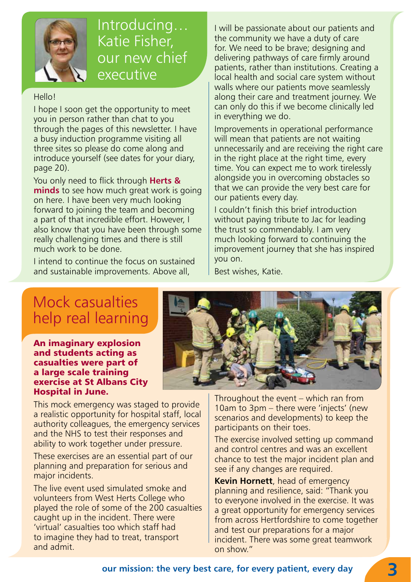

## Introducing… Katie Fisher, our new chief executive

#### Hello!

I hope I soon get the opportunity to meet you in person rather than chat to you through the pages of this newsletter. I have a busy induction programme visiting all three sites so please do come along and introduce yourself (see dates for your diary, page 20).

You only need to flick through **Herts & minds** to see how much great work is going on here. I have been very much looking forward to joining the team and becoming a part of that incredible effort. However, I also know that you have been through some really challenging times and there is still much work to be done.

I intend to continue the focus on sustained and sustainable improvements. Above all,

I will be passionate about our patients and the community we have a duty of care for. We need to be brave; designing and delivering pathways of care firmly around patients, rather than institutions. Creating a local health and social care system without walls where our patients move seamlessly along their care and treatment journey. We can only do this if we become clinically led in everything we do.

Improvements in operational performance will mean that patients are not waiting unnecessarily and are receiving the right care in the right place at the right time, every time. You can expect me to work tirelessly alongside you in overcoming obstacles so that we can provide the very best care for our patients every day.

I couldn't finish this brief introduction without paying tribute to Jac for leading the trust so commendably. I am very much looking forward to continuing the improvement journey that she has inspired you on.

Best wishes, Katie.

## Mock casualties help real learning

An imaginary explosion and students acting as casualties were part of a large scale training exercise at St Albans City Hospital in June.

This mock emergency was staged to provide a realistic opportunity for hospital staff, local authority colleagues, the emergency services and the NHS to test their responses and ability to work together under pressure.

These exercises are an essential part of our planning and preparation for serious and major incidents.

The live event used simulated smoke and volunteers from West Herts College who played the role of some of the 200 casualties caught up in the incident. There were 'virtual' casualties too which staff had to imagine they had to treat, transport and admit.



Throughout the event – which ran from 10am to 3pm – there were 'injects' (new scenarios and developments) to keep the participants on their toes.

The exercise involved setting up command and control centres and was an excellent chance to test the major incident plan and see if any changes are required.

**Kevin Hornett**, head of emergency planning and resilience, said: "Thank you to everyone involved in the exercise. It was a great opportunity for emergency services from across Hertfordshire to come together and test our preparations for a major incident. There was some great teamwork on show."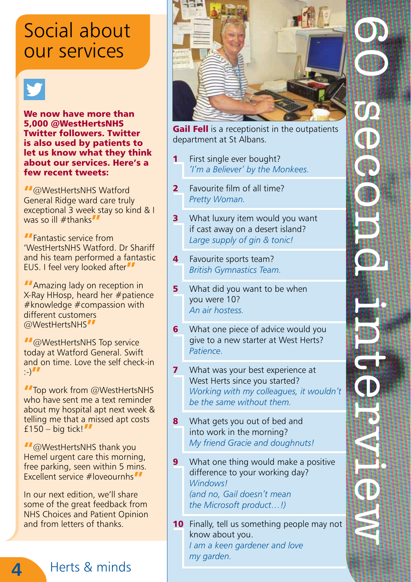## Social about our services

We now have more than 5,000 @WestHertsNHS Twitter followers. Twitter is also used by patients to let us know what they think about our services. Here's a few recent tweets:

"@WestHertsNHS Watford General Ridge ward care truly exceptional 3 week stay so kind & I was so ill #thanks"

"Fantastic service from 'WestHertsNHS Watford. Dr Shariff and his team performed a fantastic EUS. I feel very looked after

**MAMAZING LAGGE AND AMAZING A** contract properties X-Ray HHosp, heard her #patience #knowledge #compassion with different customers @WestHertsNHS"

" @WestHertsNHS Top service today at Watford General. Swift and on time. Love the self check-in  $\rightarrow$   $\prime$ 

**"**Top work from @WestHertsNHS who have sent me a text reminder about my hospital apt next week & telling me that a missed apt costs £150 – big tick! $\blacksquare$ 

"@WestHertsNHS thank you Hemel urgent care this morning, free parking, seen within 5 mins. Excellent service #loveournhs"

In our next edition, we'll share some of the great feedback from NHS Choices and Patient Opinion and from letters of thanks.

Herts & minds

**4**



Gail Fell is a receptionist in the outpatients department at St Albans.

- First single ever bought? *'I'm a Believer' by the Monkees.*
- 2 Favourite film of all time? *Pretty Woman.*
- **3** What luxury item would you want if cast away on a desert island? *Large supply of gin & tonic!*
- 4 Favourite sports team? *British Gymnastics Team.*
- **5** What did you want to be when you were 10? *An air hostess.*
- 6 What one piece of advice would you give to a new starter at West Herts? *Patience.*
- **7** What was your best experience at West Herts since you started? *Working with my colleagues, it wouldn't be the same without them.*
- 8 What gets you out of bed and into work in the morning? *My friend Gracie and doughnuts!*
- **9** What one thing would make a positive difference to your working day? *Windows! (and no, Gail doesn't mean the Microsoft product…!)*
- 10 Finally, tell us something people may not know about you. *I am a keen gardener and love my garden.*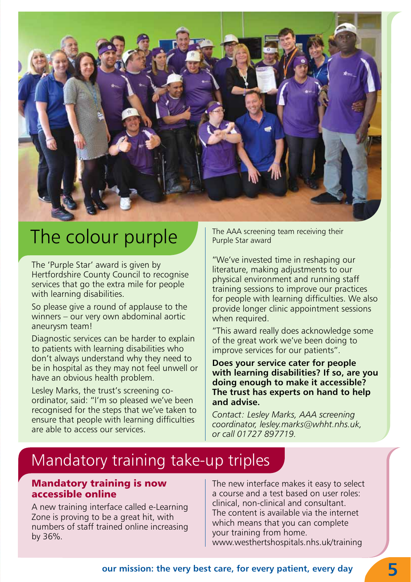

## The colour purple

The 'Purple Star' award is given by Hertfordshire County Council to recognise services that go the extra mile for people with learning disabilities.

So please give a round of applause to the winners – our very own abdominal aortic aneurysm team!

Diagnostic services can be harder to explain to patients with learning disabilities who don't always understand why they need to be in hospital as they may not feel unwell or have an obvious health problem.

Lesley Marks, the trust's screening coordinator, said: "I'm so pleased we've been recognised for the steps that we've taken to ensure that people with learning difficulties are able to access our services.

The AAA screening team receiving their Purple Star award

"We've invested time in reshaping our literature, making adjustments to our physical environment and running staff training sessions to improve our practices for people with learning difficulties. We also provide longer clinic appointment sessions when required.

"This award really does acknowledge some of the great work we've been doing to improve services for our patients".

**Does your service cater for people with learning disabilities? If so, are you doing enough to make it accessible? The trust has experts on hand to help and advise.** 

*Contact: Lesley Marks, AAA screening coordinator, lesley.marks@whht.nhs.uk, or call 01727 897719.*

## Mandatory training take-up triples

#### Mandatory training is now accessible online

A new training interface called e-Learning Zone is proving to be a great hit, with numbers of staff trained online increasing by 36%.

The new interface makes it easy to select a course and a test based on user roles: clinical, non-clinical and consultant. The content is available via the internet which means that you can complete your training from home. www.westhertshospitals.nhs.uk/training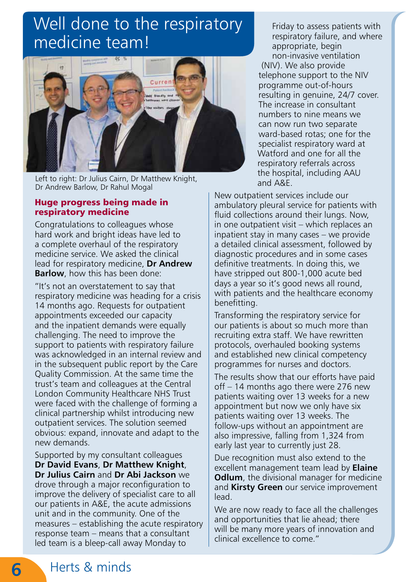## Well done to the respiratory medicine team!



Left to right: Dr Julius Cairn, Dr Matthew Knight, Dr Andrew Barlow, Dr Rahul Mogal

#### Huge progress being made in respiratory medicine

Congratulations to colleagues whose hard work and bright ideas have led to a complete overhaul of the respiratory medicine service. We asked the clinical lead for respiratory medicine, **Dr Andrew Barlow**, how this has been done:

"It's not an overstatement to say that respiratory medicine was heading for a crisis 14 months ago. Requests for outpatient appointments exceeded our capacity and the inpatient demands were equally challenging. The need to improve the support to patients with respiratory failure was acknowledged in an internal review and in the subsequent public report by the Care Quality Commission. At the same time the trust's team and colleagues at the Central London Community Healthcare NHS Trust were faced with the challenge of forming a clinical partnership whilst introducing new outpatient services. The solution seemed obvious: expand, innovate and adapt to the new demands.

Supported by my consultant colleagues **Dr David Evans**, **Dr Matthew Knight**, **Dr Julius Cairn** and **Dr Abi Jackson** we drove through a major reconfiguration to improve the delivery of specialist care to all our patients in A&E, the acute admissions unit and in the community. One of the measures – establishing the acute respiratory response team – means that a consultant led team is a bleep-call away Monday to

Friday to assess patients with respiratory failure, and where appropriate, begin non-invasive ventilation (NIV). We also provide telephone support to the NIV programme out-of-hours resulting in genuine, 24/7 cover. The increase in consultant numbers to nine means we can now run two separate ward-based rotas; one for the specialist respiratory ward at Watford and one for all the respiratory referrals across the hospital, including AAU and A&E.

New outpatient services include our ambulatory pleural service for patients with fluid collections around their lungs. Now, in one outpatient visit – which replaces an inpatient stay in many cases – we provide a detailed clinical assessment, followed by diagnostic procedures and in some cases definitive treatments. In doing this, we have stripped out 800-1,000 acute bed days a year so it's good news all round, with patients and the healthcare economy benefitting.

Transforming the respiratory service for our patients is about so much more than recruiting extra staff. We have rewritten protocols, overhauled booking systems and established new clinical competency programmes for nurses and doctors.

The results show that our efforts have paid off – 14 months ago there were 276 new patients waiting over 13 weeks for a new appointment but now we only have six patients waiting over 13 weeks. The follow-ups without an appointment are also impressive, falling from 1,324 from early last year to currently just 28.

Due recognition must also extend to the excellent management team lead by **Elaine Odlum**, the divisional manager for medicine and **Kirsty Green** our service improvement lead.

We are now ready to face all the challenges and opportunities that lie ahead; there will be many more years of innovation and clinical excellence to come."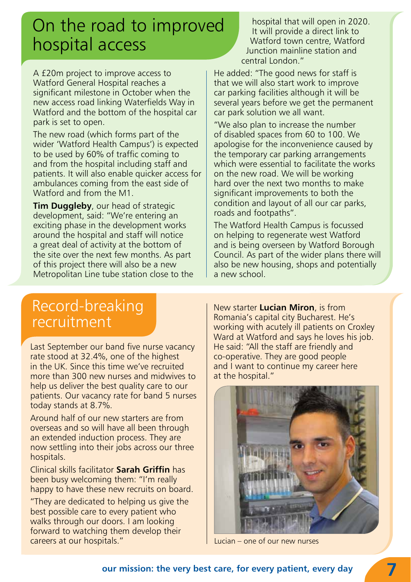## On the road to improved hospital access

hospital that will open in 2020. It will provide a direct link to Watford town centre, Watford Junction mainline station and central London."

A £20m project to improve access to Watford General Hospital reaches a significant milestone in October when the new access road linking Waterfields Way in Watford and the bottom of the hospital car park is set to open.

The new road (which forms part of the wider 'Watford Health Campus') is expected to be used by 60% of traffic coming to and from the hospital including staff and patients. It will also enable quicker access for ambulances coming from the east side of Watford and from the M1.

**Tim Duggleby**, our head of strategic development, said: "We're entering an exciting phase in the development works around the hospital and staff will notice a great deal of activity at the bottom of the site over the next few months. As part of this project there will also be a new Metropolitan Line tube station close to the He added: "The good news for staff is that we will also start work to improve car parking facilities although it will be several years before we get the permanent car park solution we all want.

"We also plan to increase the number of disabled spaces from 60 to 100. We apologise for the inconvenience caused by the temporary car parking arrangements which were essential to facilitate the works on the new road. We will be working hard over the next two months to make significant improvements to both the condition and layout of all our car parks, roads and footpaths".

The Watford Health Campus is focussed on helping to regenerate west Watford and is being overseen by Watford Borough Council. As part of the wider plans there will also be new housing, shops and potentially a new school.

## Record-breaking recruitment

Last September our band five nurse vacancy rate stood at 32.4%, one of the highest in the UK. Since this time we've recruited more than 300 new nurses and midwives to help us deliver the best quality care to our patients. Our vacancy rate for band 5 nurses today stands at 8.7%.

Around half of our new starters are from overseas and so will have all been through an extended induction process. They are now settling into their jobs across our three hospitals.

Clinical skills facilitator **Sarah Griffin** has been busy welcoming them: "I'm really happy to have these new recruits on board.

"They are dedicated to helping us give the best possible care to every patient who walks through our doors. I am looking forward to watching them develop their careers at our hospitals."

New starter **Lucian Miron**, is from Romania's capital city Bucharest. He's working with acutely ill patients on Croxley Ward at Watford and says he loves his job. He said: "All the staff are friendly and co-operative. They are good people and I want to continue my career here at the hospital."



Lucian – one of our new nurses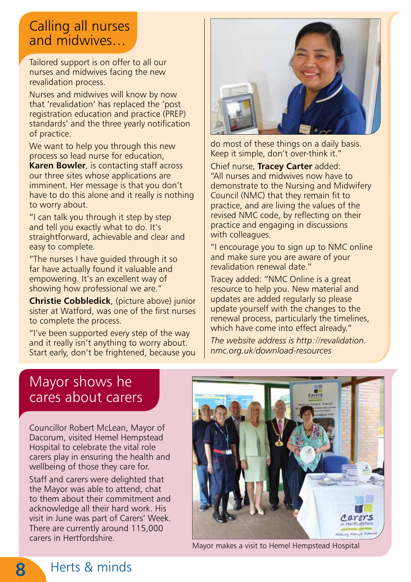## Calling all nurses and midwives…

Tailored support is on offer to all our nurses and midwives facing the new revalidation process.

Nurses and midwives will know by now that 'revalidation' has replaced the 'post registration education and practice (PREP) standards' and the three yearly notification of practice.

We want to help you through this new process so lead nurse for education, **Karen Bowler**, is contacting staff across our three sites whose applications are imminent. Her message is that you don't have to do this alone and it really is nothing to worry about.

"I can talk you through it step by step and tell you exactly what to do. It's straightforward, achievable and clear and easy to complete.

"The nurses I have guided through it so far have actually found it valuable and empowering. It's an excellent way of showing how professional we are."

**Christie Cobbledick**, (picture above) junior sister at Watford, was one of the first nurses to complete the process.

"I've been supported every step of the way and it really isn't anything to worry about. Start early, don't be frightened, because you



do most of these things on a daily basis. Keep it simple, don't over-think it."

Chief nurse, **Tracey Carter** added: "All nurses and midwives now have to demonstrate to the Nursing and Midwifery Council (NMC) that they remain fit to practice, and are living the values of the revised NMC code, by reflecting on their practice and engaging in discussions with colleagues.

"I encourage you to sign up to NMC online and make sure you are aware of your revalidation renewal date."

Tracey added: "NMC Online is a great resource to help you. New material and updates are added regularly so please update yourself with the changes to the renewal process, particularly the timelines, which have come into effect already."

*The website address is http://revalidation. nmc.org.uk/download-resources* 

## Mayor shows he cares about carers

Councillor Robert McLean, Mayor of Dacorum, visited Hemel Hempstead Hospital to celebrate the vital role carers play in ensuring the health and wellbeing of those they care for.

Staff and carers were delighted that the Mayor was able to attend, chat to them about their commitment and acknowledge all their hard work. His visit in June was part of Carers' Week. There are currently around 115,000 carers in Hertfordshire.



Mayor makes a visit to Hemel Hempstead Hospital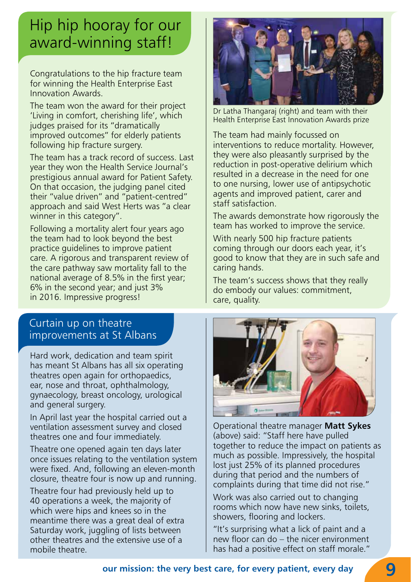## Hip hip hooray for our award-winning staff!

Congratulations to the hip fracture team for winning the Health Enterprise East Innovation Awards.

The team won the award for their project 'Living in comfort, cherishing life', which judges praised for its "dramatically improved outcomes" for elderly patients following hip fracture surgery.

The team has a track record of success. Last year they won the Health Service Journal's prestigious annual award for Patient Safety. On that occasion, the judging panel cited their "value driven" and "patient-centred" approach and said West Herts was "a clear winner in this category".

Following a mortality alert four years ago the team had to look beyond the best practice guidelines to improve patient care. A rigorous and transparent review of the care pathway saw mortality fall to the national average of 8.5% in the first year; 6% in the second year; and just 3% in 2016. Impressive progress!

### Curtain up on theatre improvements at St Albans

Hard work, dedication and team spirit has meant St Albans has all six operating theatres open again for orthopaedics, ear, nose and throat, ophthalmology, gynaecology, breast oncology, urological and general surgery.

In April last year the hospital carried out a ventilation assessment survey and closed theatres one and four immediately.

Theatre one opened again ten days later once issues relating to the ventilation system were fixed. And, following an eleven-month closure, theatre four is now up and running.

Theatre four had previously held up to 40 operations a week, the majority of which were hips and knees so in the meantime there was a great deal of extra Saturday work, juggling of lists between other theatres and the extensive use of a mobile theatre.



Dr Latha Thangaraj (right) and team with their Health Enterprise East Innovation Awards prize

The team had mainly focussed on interventions to reduce mortality. However, they were also pleasantly surprised by the reduction in post-operative delirium which resulted in a decrease in the need for one to one nursing, lower use of antipsychotic agents and improved patient, carer and staff satisfaction.

The awards demonstrate how rigorously the team has worked to improve the service.

With nearly 500 hip fracture patients coming through our doors each year, it's good to know that they are in such safe and caring hands.

The team's success shows that they really do embody our values: commitment, care, quality.



Operational theatre manager **Matt Sykes** (above) said: "Staff here have pulled together to reduce the impact on patients as much as possible. Impressively, the hospital lost just 25% of its planned procedures during that period and the numbers of complaints during that time did not rise."

Work was also carried out to changing rooms which now have new sinks, toilets, showers, flooring and lockers.

"It's surprising what a lick of paint and a new floor can do – the nicer environment has had a positive effect on staff morale."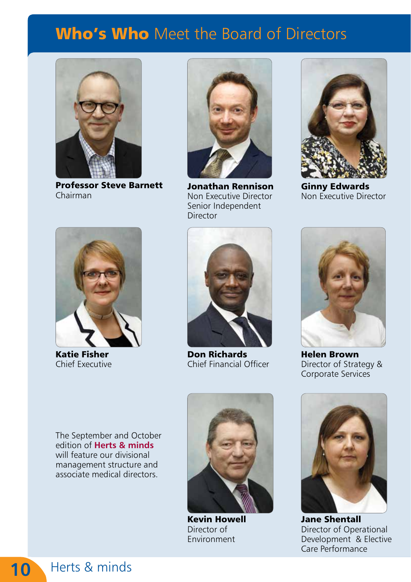## Who's Who Meet the Board of Directors



Professor Steve Barnett Chairman



Jonathan Rennison Non Executive Director Senior Independent Director



Ginny Edwards Non Executive Director



Katie Fisher Chief Executive



Don Richards Chief Financial Officer



Helen Brown Director of Strategy & Corporate Services

The September and October edition of **Herts & minds** will feature our divisional management structure and associate medical directors.



Kevin Howell Director of Environment



Jane Shentall Director of Operational Development & Elective Care Performance

Herts & minds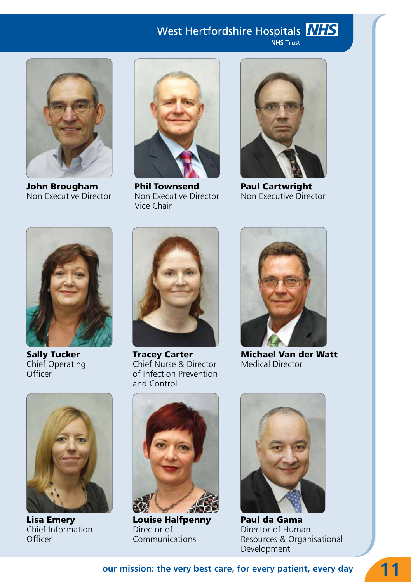## West Hertfordshire Hospitals NIS

NHS Trust



John Brougham Non Executive Director



Phil Townsend Non Executive Director Vice Chair



Paul Cartwright Non Executive Director



Sally Tucker Chief Operating **Officer** 



Tracey Carter Chief Nurse & Director of Infection Prevention and Control



Michael Van der Watt Medical Director



Lisa Emery Chief Information **Officer** 



Louise Halfpenny Director of Communications



Paul da Gama Director of Human Resources & Organisational Development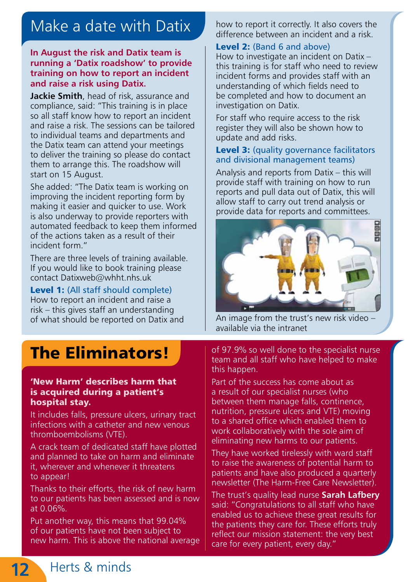## Make a date with Datix

#### **In August the risk and Datix team is running a 'Datix roadshow' to provide training on how to report an incident and raise a risk using Datix.**

**Jackie Smith**, head of risk, assurance and compliance, said: "This training is in place so all staff know how to report an incident and raise a risk. The sessions can be tailored to individual teams and departments and the Datix team can attend your meetings to deliver the training so please do contact them to arrange this. The roadshow will start on 15 August.

She added: "The Datix team is working on improving the incident reporting form by making it easier and quicker to use. Work is also underway to provide reporters with automated feedback to keep them informed of the actions taken as a result of their incident form."

There are three levels of training available. If you would like to book training please contact Datixweb@whht.nhs.uk

Level 1: (All staff should complete) How to report an incident and raise a risk – this gives staff an understanding of what should be reported on Datix and  $\overrightarrow{A}$  An image from the trust's new risk video

how to report it correctly. It also covers the difference between an incident and a risk.

#### Level 2: (Band 6 and above)

How to investigate an incident on Datix – this training is for staff who need to review incident forms and provides staff with an understanding of which fields need to be completed and how to document an investigation on Datix.

For staff who require access to the risk register they will also be shown how to update and add risks.

#### Level 3: (quality governance facilitators and divisional management teams)

Analysis and reports from Datix – this will provide staff with training on how to run reports and pull data out of Datix, this will allow staff to carry out trend analysis or provide data for reports and committees.



available via the intranet

## The Eliminators!

#### 'New Harm' describes harm that is acquired during a patient's hospital stay.

It includes falls, pressure ulcers, urinary tract infections with a catheter and new venous thromboembolisms (VTE).

A crack team of dedicated staff have plotted and planned to take on harm and eliminate it, wherever and whenever it threatens to appear!

Thanks to their efforts, the risk of new harm to our patients has been assessed and is now at 0.06%.

Put another way, this means that 99.04% of our patients have not been subject to new harm. This is above the national average of 97.9% so well done to the specialist nurse team and all staff who have helped to make this happen.

Part of the success has come about as a result of our specialist nurses (who between them manage falls, continence, nutrition, pressure ulcers and VTE) moving to a shared office which enabled them to work collaboratively with the sole aim of eliminating new harms to our patients.

They have worked tirelessly with ward staff to raise the awareness of potential harm to patients and have also produced a quarterly newsletter (The Harm-Free Care Newsletter).

The trust's quality lead nurse **Sarah Lafbery**  said: "Congratulations to all staff who have enabled us to achieve these great results for the patients they care for. These efforts truly reflect our mission statement: the very best care for every patient, every day."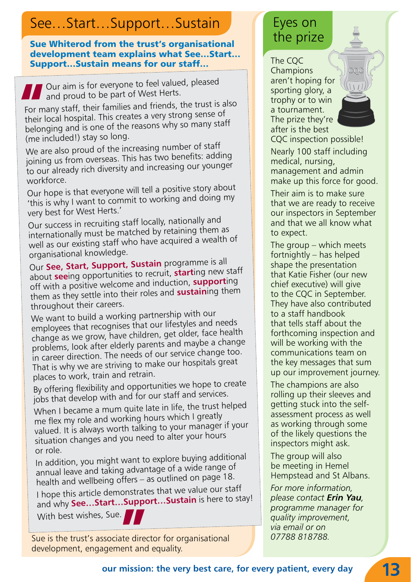## See...Start...Support...Sustain Figures on

Sue Whiterod from the trust's organisational development team explains what See…Start… Support…Sustain means for our staff…

 Our aim is for everyone to feel valued, pleased and proud to be part of West Herts. **''**

For many staff, their families and friends, the trust is also their local hospital. This creates a very strong sense o<sup>f</sup> belonging and is one of the reasons why so many staff (me included!) stay so long.

We are also proud of the increasing number of staff joining us from overseas. This has two benefits: adding to our already rich diversity and increasing our younger workforce.

Our hope is that everyone will tell a positive story about 'this is why I want to commit to working and doing my very best for West Herts.'

Our success in recruiting staff locally, nationally and internationally must be matched by retaining them as well as our existing staff who have acquired a wealth of organisational knowledge.

Our **See, Start, Support, Sustain** programme is all about **see**ing opportunities to recruit, **start**ing new staff off with a positive welcome and induction, **support**ing them as they settle into their roles and **sustain**ing them throughout their careers.

We want to build a working partnership with our employees that recognises that our lifestyles and needs change as we grow, have children, get older, face health problems, look after elderly parents and maybe a change in career direction. The needs of our service change too. That is why we are striving to make our hospitals great <sup>p</sup>laces to work, train and retrain.

By offering flexibility and opportunities we hope to create jobs that develop with and for our staff and services.

When I became a mum quite late in life, the trust helped me flex my role and working hours which I greatly valued. It is always worth talking to your manager if your situation changes and you need to alter your hours or role.

In addition, you might want to explore buying additional annual leave and taking advantage of a wide range o<sup>f</sup> health and wellbeing offers – as outlined on page 18.

I hope this article demonstrates that we value our staff and why **See…Start…Support…Sustain** is here to stay! With best wishes, Sue. **''**

Sue is the trust's associate director for organisational development, engagement and equality.

## the prize

The CQC Champions aren't hoping for sporting glory, a trophy or to win a tournament. The prize they're after is the best



CQC inspection possible! Nearly 100 staff including medical, nursing, management and admin make up this force for good.

Their aim is to make sure that we are ready to receive our inspectors in September and that we all know what to expect.

The group – which meets fortnightly – has helped shape the presentation that Katie Fisher (our new chief executive) will give to the CQC in September. They have also contributed to a staff handbook that tells staff about the forthcoming inspection and will be working with the communications team on the key messages that sum up our improvement journey.

The champions are also rolling up their sleeves and getting stuck into the selfassessment process as well as working through some of the likely questions the inspectors might ask.

The group will also be meeting in Hemel Hempstead and St Albans.

*For more information, please contact Erin Yau, programme manager for quality improvement, via email or on 07788 818788.*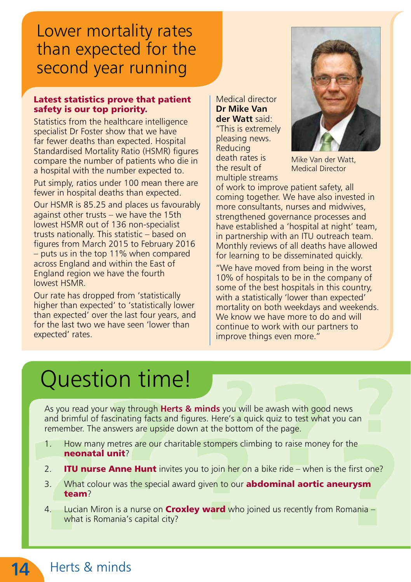## Lower mortality rates than expected for the second year running

#### Latest statistics prove that patient safety is our top priority.

Statistics from the healthcare intelligence specialist Dr Foster show that we have far fewer deaths than expected. Hospital Standardised Mortality Ratio (HSMR) figures compare the number of patients who die in a hospital with the number expected to.

Put simply, ratios under 100 mean there are fewer in hospital deaths than expected.

Our HSMR is 85.25 and places us favourably against other trusts – we have the 15th lowest HSMR out of 136 non-specialist trusts nationally. This statistic – based on figures from March 2015 to February 2016 – puts us in the top 11% when compared across England and within the East of England region we have the fourth lowest HSMR.

Our rate has dropped from 'statistically higher than expected' to 'statistically lower than expected' over the last four years, and for the last two we have seen 'lower than expected' rates.

Medical director **Dr Mike Van der Watt** said: "This is extremely pleasing news. **Reducing** death rates is the result of multiple streams



Mike Van der Watt, Medical Director

of work to improve patient safety, all coming together. We have also invested in more consultants, nurses and midwives, strengthened governance processes and have established a 'hospital at night' team, in partnership with an ITU outreach team. Monthly reviews of all deaths have allowed for learning to be disseminated quickly.

"We have moved from being in the worst 10% of hospitals to be in the company of some of the best hospitals in this country, with a statistically 'lower than expected' mortality on both weekdays and weekends. We know we have more to do and will continue to work with our partners to improve things even more."

## Question time!

As you read your way through **Herts & minds** you will be awash with good news and brimful of fascinating facts and figures. Here's a quick quiz to test what you can remember. The answers are upside down at the bottom of the page.

- 1. How many metres are our charitable stompers climbing to raise money for the neonatal unit?
- 2. **ITU nurse Anne Hunt** invites you to join her on a bike ride when is the first one?
- 3. What colour was the special award given to our **abdominal aortic aneurysm** team?
- 4. Lucian Miron is a nurse on **Croxley ward** who joined us recently from Romania what is Romania's capital city?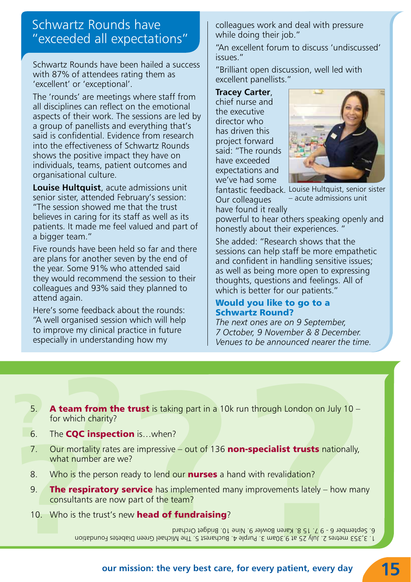## Schwartz Rounds have "exceeded all expectations"

Schwartz Rounds have been hailed a success with 87% of attendees rating them as 'excellent' or 'exceptional'.

The 'rounds' are meetings where staff from all disciplines can reflect on the emotional aspects of their work. The sessions are led by a group of panellists and everything that's said is confidential. Evidence from research into the effectiveness of Schwartz Rounds shows the positive impact they have on individuals, teams, patient outcomes and organisational culture.

**Louise Hultquist**, acute admissions unit senior sister, attended February's session: "The session showed me that the trust believes in caring for its staff as well as its patients. It made me feel valued and part of a bigger team."

Five rounds have been held so far and there are plans for another seven by the end of the year. Some 91% who attended said they would recommend the session to their colleagues and 93% said they planned to attend again.

Here's some feedback about the rounds: "A well organised session which will help to improve my clinical practice in future especially in understanding how my

colleagues work and deal with pressure while doing their job."

"An excellent forum to discuss 'undiscussed' issues."

"Brilliant open discussion, well led with excellent panellists."

**Tracey Carter**, chief nurse and the executive director who has driven this project forward said: "The rounds have exceeded expectations and we've had some



Our colleagues have found it really

fantastic feedback. Louise Hultquist, senior sister – acute admissions unit

powerful to hear others speaking openly and honestly about their experiences. "

She added: "Research shows that the sessions can help staff be more empathetic and confident in handling sensitive issues; as well as being more open to expressing thoughts, questions and feelings. All of which is better for our patients."

#### Would you like to go to a Schwartz Round?

*The next ones are on 9 September, 7 October, 9 November & 8 December. Venues to be announced nearer the time.*

- 5. **A team from the trust** is taking part in a 10k run through London on July 10 for which charity?
- 6. The CQC inspection is…when?
- 7. Our mortality rates are impressive out of 136 non-specialist trusts nationally, what number are we?
- 8. Who is the person ready to lend our **nurses** a hand with revalidation?
- 9. **The respiratory service** has implemented many improvements lately how many consultants are now part of the team?
- 10. Who is the trust's new **head of fundraising**?

1. 3,353 metres 2. July 25 at 9.30am 3. Purple 4. Bucharest 5. The Michael Green Diabetes Foundation 6. September 6 - 9 7. 15 8. Karen Bowler 9. Nine 10. Bridget Orchard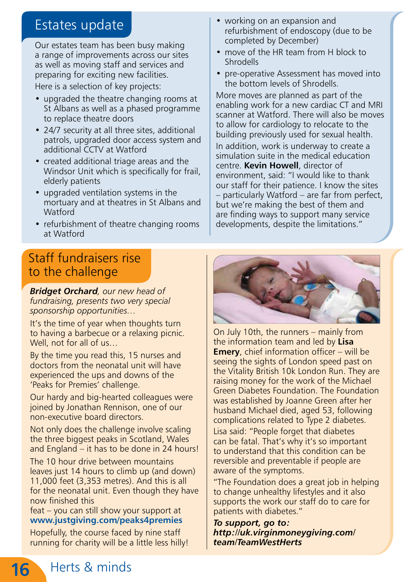## Estates update

Our estates team has been busy making a range of improvements across our sites as well as moving staff and services and preparing for exciting new facilities. Here is a selection of key projects:

- upgraded the theatre changing rooms at St Albans as well as a phased programme to replace theatre doors
- 24/7 security at all three sites, additional patrols, upgraded door access system and additional CCTV at Watford
- created additional triage areas and the Windsor Unit which is specifically for frail, elderly patients
- upgraded ventilation systems in the mortuary and at theatres in St Albans and Watford
- refurbishment of theatre changing rooms at Watford

## Staff fundraisers rise to the challenge

*Bridget Orchard, our new head of fundraising, presents two very special sponsorship opportunities…* 

It's the time of year when thoughts turn to having a barbecue or a relaxing picnic. Well, not for all of us…

By the time you read this, 15 nurses and doctors from the neonatal unit will have experienced the ups and downs of the 'Peaks for Premies' challenge.

Our hardy and big-hearted colleagues were joined by Jonathan Rennison, one of our non-executive board directors.

Not only does the challenge involve scaling the three biggest peaks in Scotland, Wales and England – it has to be done in 24 hours!

The 10 hour drive between mountains leaves just 14 hours to climb up (and down) 11,000 feet (3,353 metres). And this is all for the neonatal unit. Even though they have now finished this

feat – you can still show your support at **www.justgiving.com/peaks4premies**

Hopefully, the course faced by nine staff running for charity will be a little less hilly!

- working on an expansion and refurbishment of endoscopy (due to be completed by December)
- move of the HR team from H block to Shrodells
- pre-operative Assessment has moved into the bottom levels of Shrodells.

More moves are planned as part of the enabling work for a new cardiac CT and MRI scanner at Watford. There will also be moves to allow for cardiology to relocate to the building previously used for sexual health.

In addition, work is underway to create a simulation suite in the medical education centre. **Kevin Howell**, director of environment, said: "I would like to thank our staff for their patience. I know the sites – particularly Watford – are far from perfect, but we're making the best of them and are finding ways to support many service developments, despite the limitations."



On July 10th, the runners – mainly from the information team and led by **Lisa Emery**, chief information officer – will be seeing the sights of London speed past on the Vitality British 10k London Run. They are raising money for the work of the Michael Green Diabetes Foundation. The Foundation was established by Joanne Green after her husband Michael died, aged 53, following complications related to Type 2 diabetes.

Lisa said: "People forget that diabetes can be fatal. That's why it's so important to understand that this condition can be reversible and preventable if people are aware of the symptoms.

"The Foundation does a great job in helping to change unhealthy lifestyles and it also supports the work our staff do to care for patients with diabetes."

*To support, go to: http://uk.virginmoneygiving.com/ team/TeamWestHerts*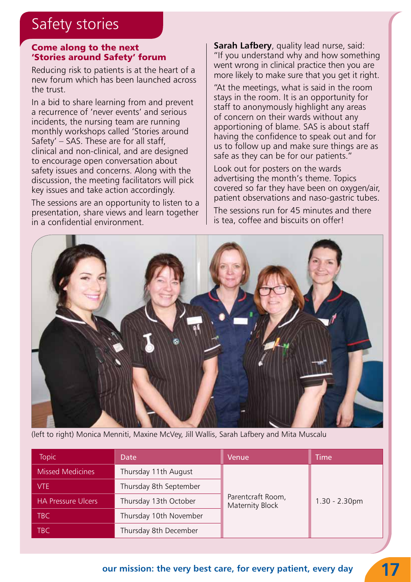## Safety stories

#### Come along to the next 'Stories around Safety' forum

Reducing risk to patients is at the heart of a new forum which has been launched across the trust.

In a bid to share learning from and prevent a recurrence of 'never events' and serious incidents, the nursing team are running monthly workshops called 'Stories around Safety' – SAS. These are for all staff, clinical and non-clinical, and are designed to encourage open conversation about safety issues and concerns. Along with the discussion, the meeting facilitators will pick key issues and take action accordingly.

The sessions are an opportunity to listen to a presentation, share views and learn together in a confidential environment.

**Sarah Lafbery**, quality lead nurse, said: "If you understand why and how something went wrong in clinical practice then you are more likely to make sure that you get it right.

"At the meetings, what is said in the room stays in the room. It is an opportunity for staff to anonymously highlight any areas of concern on their wards without any apportioning of blame. SAS is about staff having the confidence to speak out and for us to follow up and make sure things are as safe as they can be for our patients."

Look out for posters on the wards advertising the month's theme. Topics covered so far they have been on oxygen/air, patient observations and naso-gastric tubes.

The sessions run for 45 minutes and there is tea, coffee and biscuits on offer!



(left to right) Monica Menniti, Maxine McVey, Jill Wallis, Sarah Lafbery and Mita Muscalu

| <b>Topic</b>              | Date                   | Venue                                | <b>Time</b>      |
|---------------------------|------------------------|--------------------------------------|------------------|
| <b>Missed Medicines</b>   | Thursday 11th August   | Parentcraft Room,<br>Maternity Block | $1.30 - 2.30$ pm |
| VTE.                      | Thursday 8th September |                                      |                  |
| <b>HA Pressure Ulcers</b> | Thursday 13th October  |                                      |                  |
| TBC.                      | Thursday 10th November |                                      |                  |
| <b>TBC</b>                | Thursday 8th December  |                                      |                  |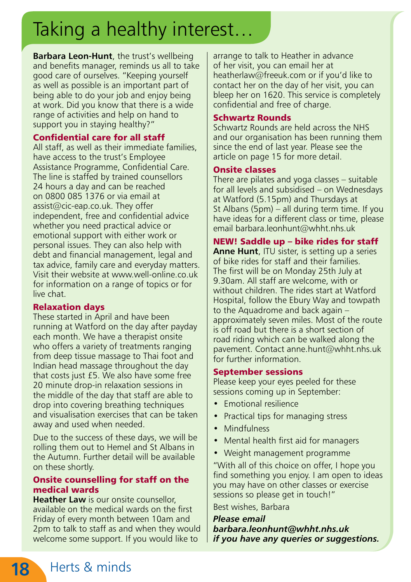## Taking a healthy interest…

**Barbara Leon-Hunt**, the trust's wellbeing and benefits manager, reminds us all to take good care of ourselves. "Keeping yourself as well as possible is an important part of being able to do your job and enjoy being at work. Did you know that there is a wide range of activities and help on hand to support you in staying healthy?"

#### Confidential care for all staff

All staff, as well as their immediate families, have access to the trust's Employee Assistance Programme, Confidential Care. The line is staffed by trained counsellors 24 hours a day and can be reached on 0800 085 1376 or via email at assist@cic-eap.co.uk. They offer independent, free and confidential advice whether you need practical advice or emotional support with either work or personal issues. They can also help with debt and financial management, legal and tax advice, family care and everyday matters. Visit their website at www.well-online.co.uk for information on a range of topics or for live chat.

#### Relaxation days

These started in April and have been running at Watford on the day after payday each month. We have a therapist onsite who offers a variety of treatments ranging from deep tissue massage to Thai foot and Indian head massage throughout the day that costs just £5. We also have some free 20 minute drop-in relaxation sessions in the middle of the day that staff are able to drop into covering breathing techniques and visualisation exercises that can be taken away and used when needed.

Due to the success of these days, we will be rolling them out to Hemel and St Albans in the Autumn. Further detail will be available on these shortly.

#### Onsite counselling for staff on the medical wards

**Heather Law** is our onsite counsellor, available on the medical wards on the first Friday of every month between 10am and 2pm to talk to staff as and when they would welcome some support. If you would like to

arrange to talk to Heather in advance of her visit, you can email her at heatherlaw@freeuk.com or if you'd like to contact her on the day of her visit, you can bleep her on 1620. This service is completely confidential and free of charge.

#### Schwartz Rounds

Schwartz Rounds are held across the NHS and our organisation has been running them since the end of last year. Please see the article on page 15 for more detail.

#### Onsite classes

There are pilates and yoga classes – suitable for all levels and subsidised – on Wednesdays at Watford (5.15pm) and Thursdays at St Albans (5pm) – all during term time. If you have ideas for a different class or time, please email barbara.leonhunt@whht.nhs.uk

NEW! Saddle up – bike rides for staff **Anne Hunt**, ITU sister, is setting up a series of bike rides for staff and their families. The first will be on Monday 25th July at 9.30am. All staff are welcome, with or without children. The rides start at Watford Hospital, follow the Ebury Way and towpath to the Aquadrome and back again – approximately seven miles. Most of the route is off road but there is a short section of road riding which can be walked along the pavement. Contact anne.hunt@whht.nhs.uk for further information.

#### September sessions

Please keep your eyes peeled for these sessions coming up in September:

- **Emotional resilience**
- Practical tips for managing stress
- **Mindfulness**
- Mental health first aid for managers
- Weight management programme

"With all of this choice on offer, I hope you find something you enjoy. I am open to ideas you may have on other classes or exercise sessions so please get in touch!"

Best wishes, Barbara

*Please email barbara.leonhunt@whht.nhs.uk if you have any queries or suggestions.*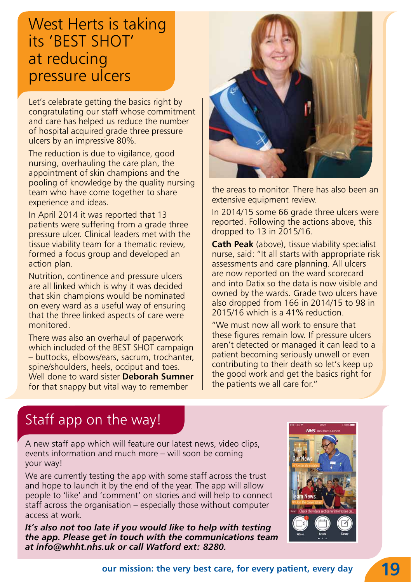## West Herts is taking its 'BEST SHOT' at reducing pressure ulcers

Let's celebrate getting the basics right by congratulating our staff whose commitment and care has helped us reduce the number of hospital acquired grade three pressure ulcers by an impressive 80%.

The reduction is due to vigilance, good nursing, overhauling the care plan, the appointment of skin champions and the pooling of knowledge by the quality nursing team who have come together to share experience and ideas.

In April 2014 it was reported that 13 patients were suffering from a grade three pressure ulcer. Clinical leaders met with the tissue viability team for a thematic review, formed a focus group and developed an action plan.

Nutrition, continence and pressure ulcers are all linked which is why it was decided that skin champions would be nominated on every ward as a useful way of ensuring that the three linked aspects of care were monitored.

There was also an overhaul of paperwork which included of the BEST SHOT campaign – buttocks, elbows/ears, sacrum, trochanter, spine/shoulders, heels, occiput and toes. Well done to ward sister **Deborah Sumner** for that snappy but vital way to remember



the areas to monitor. There has also been an extensive equipment review.

In 2014/15 some 66 grade three ulcers were reported. Following the actions above, this dropped to 13 in 2015/16.

**Cath Peak** (above), tissue viability specialist nurse, said: "It all starts with appropriate risk assessments and care planning. All ulcers are now reported on the ward scorecard and into Datix so the data is now visible and owned by the wards. Grade two ulcers have also dropped from 166 in 2014/15 to 98 in 2015/16 which is a 41% reduction.

"We must now all work to ensure that these figures remain low. If pressure ulcers aren't detected or managed it can lead to a patient becoming seriously unwell or even contributing to their death so let's keep up the good work and get the basics right for the patients we all care for."

## Staff app on the way!

A new staff app which will feature our latest news, video clips, events information and much more – will soon be coming your way!

We are currently testing the app with some staff across the trust and hope to launch it by the end of the year. The app will allow people to 'like' and 'comment' on stories and will help to connect staff across the organisation – especially those without computer access at work.

*It's also not too late if you would like to help with testing the app. Please get in touch with the communications team at info@whht.nhs.uk or call Watford ext: 8280.*